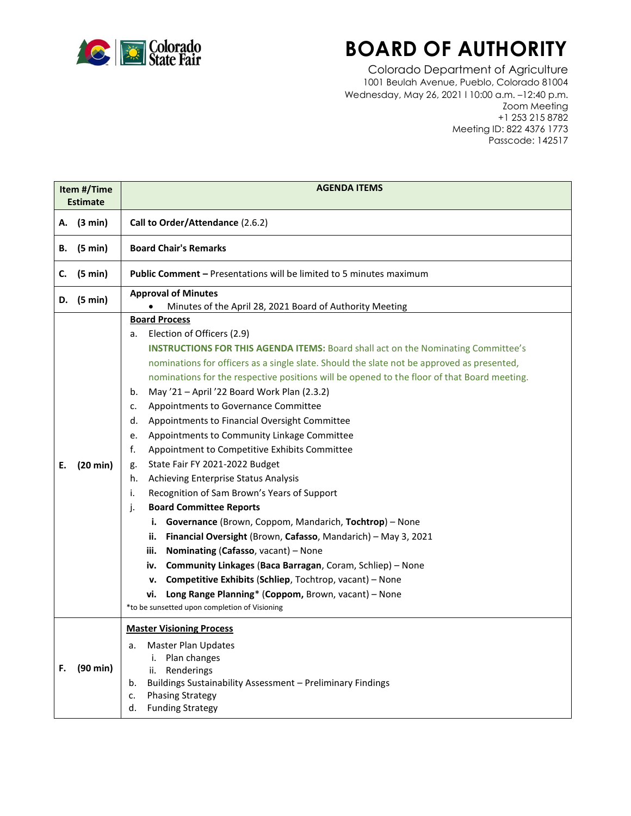

## **BOARD OF AUTHORITY**

Colorado Department of Agriculture 1001 Beulah Avenue, Pueblo, Colorado 81004 Wednesday, May 26, 2021 l 10:00 a.m. –12:40 p.m. Zoom Meeting +1 253 215 8782 Meeting ID: 822 4376 1773 Passcode: 142517

| Item #/Time<br><b>Estimate</b> |          | <b>AGENDA ITEMS</b>                                                                                                                                                                                                                                                                                                                                                                                                                                                                                                                                                                                                                                                                                                                                                                                                                                                                                                                                                                                                                                                                                                                                                                                                                         |  |  |  |
|--------------------------------|----------|---------------------------------------------------------------------------------------------------------------------------------------------------------------------------------------------------------------------------------------------------------------------------------------------------------------------------------------------------------------------------------------------------------------------------------------------------------------------------------------------------------------------------------------------------------------------------------------------------------------------------------------------------------------------------------------------------------------------------------------------------------------------------------------------------------------------------------------------------------------------------------------------------------------------------------------------------------------------------------------------------------------------------------------------------------------------------------------------------------------------------------------------------------------------------------------------------------------------------------------------|--|--|--|
| А.                             | (3 min)  | Call to Order/Attendance (2.6.2)                                                                                                                                                                                                                                                                                                                                                                                                                                                                                                                                                                                                                                                                                                                                                                                                                                                                                                                                                                                                                                                                                                                                                                                                            |  |  |  |
| В.                             | (5 min)  | <b>Board Chair's Remarks</b>                                                                                                                                                                                                                                                                                                                                                                                                                                                                                                                                                                                                                                                                                                                                                                                                                                                                                                                                                                                                                                                                                                                                                                                                                |  |  |  |
| c.                             | (5 min)  | <b>Public Comment - Presentations will be limited to 5 minutes maximum</b>                                                                                                                                                                                                                                                                                                                                                                                                                                                                                                                                                                                                                                                                                                                                                                                                                                                                                                                                                                                                                                                                                                                                                                  |  |  |  |
| D.                             | (5 min)  | <b>Approval of Minutes</b><br>Minutes of the April 28, 2021 Board of Authority Meeting                                                                                                                                                                                                                                                                                                                                                                                                                                                                                                                                                                                                                                                                                                                                                                                                                                                                                                                                                                                                                                                                                                                                                      |  |  |  |
| Е.                             | (20 min) | <b>Board Process</b><br>Election of Officers (2.9)<br>a.<br>INSTRUCTIONS FOR THIS AGENDA ITEMS: Board shall act on the Nominating Committee's<br>nominations for officers as a single slate. Should the slate not be approved as presented,<br>nominations for the respective positions will be opened to the floor of that Board meeting.<br>May '21 - April '22 Board Work Plan (2.3.2)<br>b.<br>Appointments to Governance Committee<br>c.<br>Appointments to Financial Oversight Committee<br>d.<br>Appointments to Community Linkage Committee<br>е.<br>f.<br>Appointment to Competitive Exhibits Committee<br>State Fair FY 2021-2022 Budget<br>g.<br>Achieving Enterprise Status Analysis<br>h.<br>Recognition of Sam Brown's Years of Support<br>i.<br><b>Board Committee Reports</b><br>j.<br>i. Governance (Brown, Coppom, Mandarich, Tochtrop) - None<br>Financial Oversight (Brown, Cafasso, Mandarich) - May 3, 2021<br>ii.<br>Nominating (Cafasso, vacant) - None<br>iii.<br>Community Linkages (Baca Barragan, Coram, Schliep) - None<br>iv.<br>Competitive Exhibits (Schliep, Tochtrop, vacant) - None<br>v.<br>Long Range Planning* (Coppom, Brown, vacant) - None<br>vi.<br>*to be sunsetted upon completion of Visioning |  |  |  |
| F.                             | (90 min) | <b>Master Visioning Process</b><br><b>Master Plan Updates</b><br>a.<br>Plan changes<br>i.<br>Renderings<br>ii.<br>Buildings Sustainability Assessment - Preliminary Findings<br>b.<br><b>Phasing Strategy</b><br>c.<br><b>Funding Strategy</b><br>d.                                                                                                                                                                                                                                                                                                                                                                                                                                                                                                                                                                                                                                                                                                                                                                                                                                                                                                                                                                                        |  |  |  |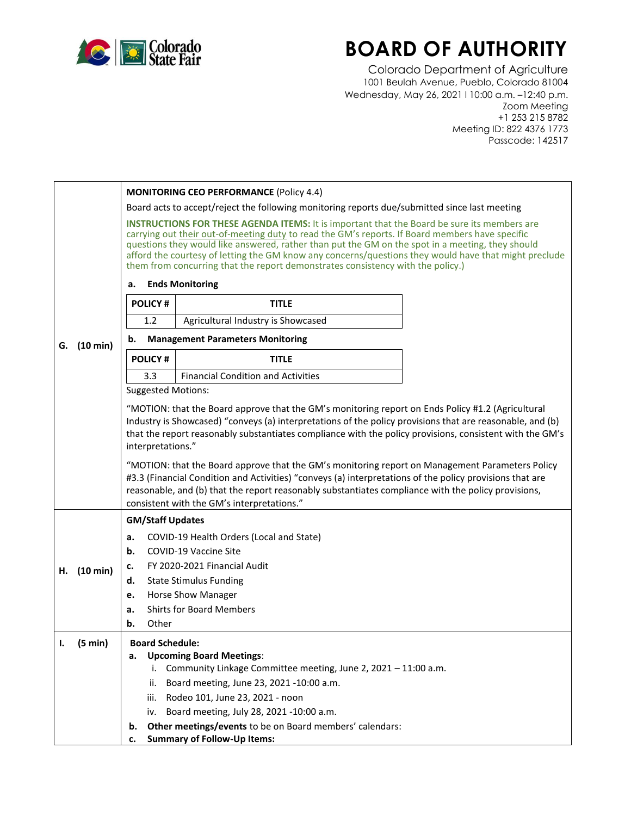

## **BOARD OF AUTHORITY**

Colorado Department of Agriculture 1001 Beulah Avenue, Pueblo, Colorado 81004 Wednesday, May 26, 2021 l 10:00 a.m. –12:40 p.m. Zoom Meeting +1 253 215 8782 Meeting ID: 822 4376 1773 Passcode: 142517

|    |             |                                                                                                                                                                                                                                                                                                                                                                                                                                                                                                                                                                                                                                                                                                                     | <b>MONITORING CEO PERFORMANCE (Policy 4.4)</b>                    |  |  |  |
|----|-------------|---------------------------------------------------------------------------------------------------------------------------------------------------------------------------------------------------------------------------------------------------------------------------------------------------------------------------------------------------------------------------------------------------------------------------------------------------------------------------------------------------------------------------------------------------------------------------------------------------------------------------------------------------------------------------------------------------------------------|-------------------------------------------------------------------|--|--|--|
|    |             | Board acts to accept/reject the following monitoring reports due/submitted since last meeting                                                                                                                                                                                                                                                                                                                                                                                                                                                                                                                                                                                                                       |                                                                   |  |  |  |
|    |             | <b>INSTRUCTIONS FOR THESE AGENDA ITEMS:</b> It is important that the Board be sure its members are<br>carrying out their out-of-meeting duty to read the GM's reports. If Board members have specific<br>questions they would like answered, rather than put the GM on the spot in a meeting, they should<br>afford the courtesy of letting the GM know any concerns/questions they would have that might preclude<br>them from concurring that the report demonstrates consistency with the policy.)                                                                                                                                                                                                               |                                                                   |  |  |  |
|    |             | <b>Ends Monitoring</b><br>а.                                                                                                                                                                                                                                                                                                                                                                                                                                                                                                                                                                                                                                                                                        |                                                                   |  |  |  |
|    |             | <b>POLICY#</b>                                                                                                                                                                                                                                                                                                                                                                                                                                                                                                                                                                                                                                                                                                      | <b>TITLE</b>                                                      |  |  |  |
|    |             | 1.2                                                                                                                                                                                                                                                                                                                                                                                                                                                                                                                                                                                                                                                                                                                 | Agricultural Industry is Showcased                                |  |  |  |
| G. | (10 min)    | <b>Management Parameters Monitoring</b><br>b.                                                                                                                                                                                                                                                                                                                                                                                                                                                                                                                                                                                                                                                                       |                                                                   |  |  |  |
|    |             | <b>POLICY#</b>                                                                                                                                                                                                                                                                                                                                                                                                                                                                                                                                                                                                                                                                                                      | <b>TITLE</b>                                                      |  |  |  |
|    |             | 3.3                                                                                                                                                                                                                                                                                                                                                                                                                                                                                                                                                                                                                                                                                                                 | <b>Financial Condition and Activities</b>                         |  |  |  |
|    |             | <b>Suggested Motions:</b>                                                                                                                                                                                                                                                                                                                                                                                                                                                                                                                                                                                                                                                                                           |                                                                   |  |  |  |
|    |             | "MOTION: that the Board approve that the GM's monitoring report on Ends Policy #1.2 (Agricultural<br>Industry is Showcased) "conveys (a) interpretations of the policy provisions that are reasonable, and (b)<br>that the report reasonably substantiates compliance with the policy provisions, consistent with the GM's<br>interpretations."<br>"MOTION: that the Board approve that the GM's monitoring report on Management Parameters Policy<br>#3.3 (Financial Condition and Activities) "conveys (a) interpretations of the policy provisions that are<br>reasonable, and (b) that the report reasonably substantiates compliance with the policy provisions,<br>consistent with the GM's interpretations." |                                                                   |  |  |  |
|    |             | <b>GM/Staff Updates</b>                                                                                                                                                                                                                                                                                                                                                                                                                                                                                                                                                                                                                                                                                             |                                                                   |  |  |  |
|    |             | a.                                                                                                                                                                                                                                                                                                                                                                                                                                                                                                                                                                                                                                                                                                                  | COVID-19 Health Orders (Local and State)                          |  |  |  |
|    |             | b.                                                                                                                                                                                                                                                                                                                                                                                                                                                                                                                                                                                                                                                                                                                  | COVID-19 Vaccine Site                                             |  |  |  |
|    | H. (10 min) | FY 2020-2021 Financial Audit<br>c.                                                                                                                                                                                                                                                                                                                                                                                                                                                                                                                                                                                                                                                                                  |                                                                   |  |  |  |
|    |             | d.                                                                                                                                                                                                                                                                                                                                                                                                                                                                                                                                                                                                                                                                                                                  | <b>State Stimulus Funding</b>                                     |  |  |  |
|    |             | e.                                                                                                                                                                                                                                                                                                                                                                                                                                                                                                                                                                                                                                                                                                                  | <b>Horse Show Manager</b>                                         |  |  |  |
|    |             | a.                                                                                                                                                                                                                                                                                                                                                                                                                                                                                                                                                                                                                                                                                                                  | <b>Shirts for Board Members</b>                                   |  |  |  |
|    |             | Other<br>b.                                                                                                                                                                                                                                                                                                                                                                                                                                                                                                                                                                                                                                                                                                         |                                                                   |  |  |  |
|    | (5 min)     | <b>Board Schedule:</b><br>а.                                                                                                                                                                                                                                                                                                                                                                                                                                                                                                                                                                                                                                                                                        | <b>Upcoming Board Meetings:</b>                                   |  |  |  |
|    |             |                                                                                                                                                                                                                                                                                                                                                                                                                                                                                                                                                                                                                                                                                                                     | i. Community Linkage Committee meeting, June 2, 2021 - 11:00 a.m. |  |  |  |
|    |             | ii.                                                                                                                                                                                                                                                                                                                                                                                                                                                                                                                                                                                                                                                                                                                 | Board meeting, June 23, 2021 -10:00 a.m.                          |  |  |  |
|    |             | Rodeo 101, June 23, 2021 - noon<br>iii.                                                                                                                                                                                                                                                                                                                                                                                                                                                                                                                                                                                                                                                                             |                                                                   |  |  |  |
|    |             | iv.                                                                                                                                                                                                                                                                                                                                                                                                                                                                                                                                                                                                                                                                                                                 | Board meeting, July 28, 2021 -10:00 a.m.                          |  |  |  |
|    |             | b.                                                                                                                                                                                                                                                                                                                                                                                                                                                                                                                                                                                                                                                                                                                  | Other meetings/events to be on Board members' calendars:          |  |  |  |
|    |             | c.                                                                                                                                                                                                                                                                                                                                                                                                                                                                                                                                                                                                                                                                                                                  | <b>Summary of Follow-Up Items:</b>                                |  |  |  |